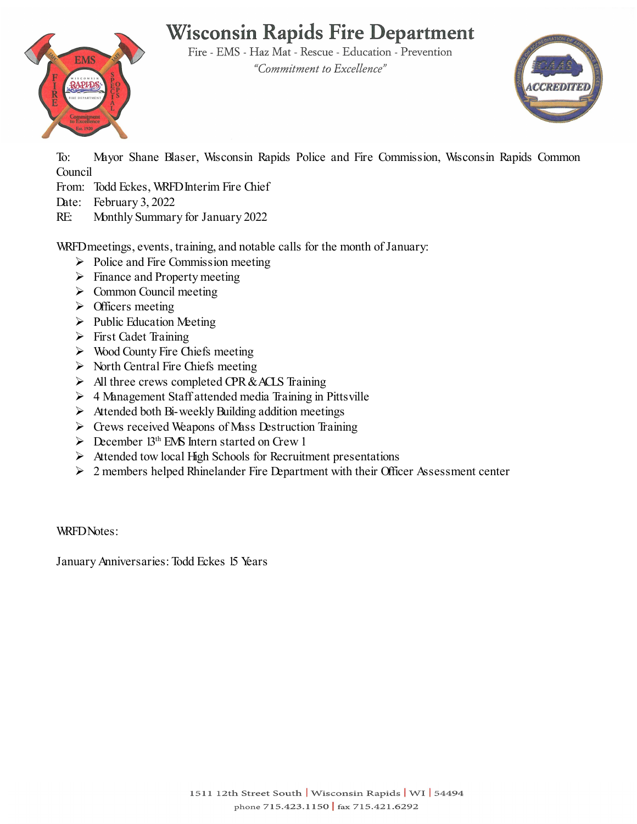# **Wisconsin Rapids Fire Department**

Fire - EMS - Haz Mat - Rescue - Education - Prevention "Commitment to Excellence"



To: Mayor Shane Blaser, Wisconsin Rapids Police and Fire Commission, Wisconsin Rapids Common Council

- From: Todd Eckes, WRFD Interim Fire Chief
- Date: February 3, 2022

**EMS** 

**APID** 

RE: Monthly Summary for January 2022

WRFD meetings, events, training, and notable calls for the month of January:

- $\triangleright$  Police and Fire Commission meeting
- $\triangleright$  Finance and Property meeting
- $\triangleright$  Common Council meeting
- $\triangleright$  Officers meeting
- $\triangleright$  Public Education Meeting
- First Cadet Training
- $\triangleright$  Wood County Fire Chiefs meeting
- $\triangleright$  North Central Fire Chiefs meeting
- $\triangleright$  All three crews completed CPR & ACLS Training
- $\triangleright$  4 Management Staff attended media Training in Pittsville
- $\triangleright$  Attended both Bi-weekly Building addition meetings
- $\triangleright$  Crews received Weapons of Mass Destruction Training
- $\triangleright$  December 13<sup>th</sup> EMS Intern started on Crew 1
- $\triangleright$  Attended tow local High Schools for Recruitment presentations
- $\geq 2$  members helped Rhinelander Fire Department with their Officer Assessment center

WRFDNotes:

January Anniversaries: Todd Eckes 15 Years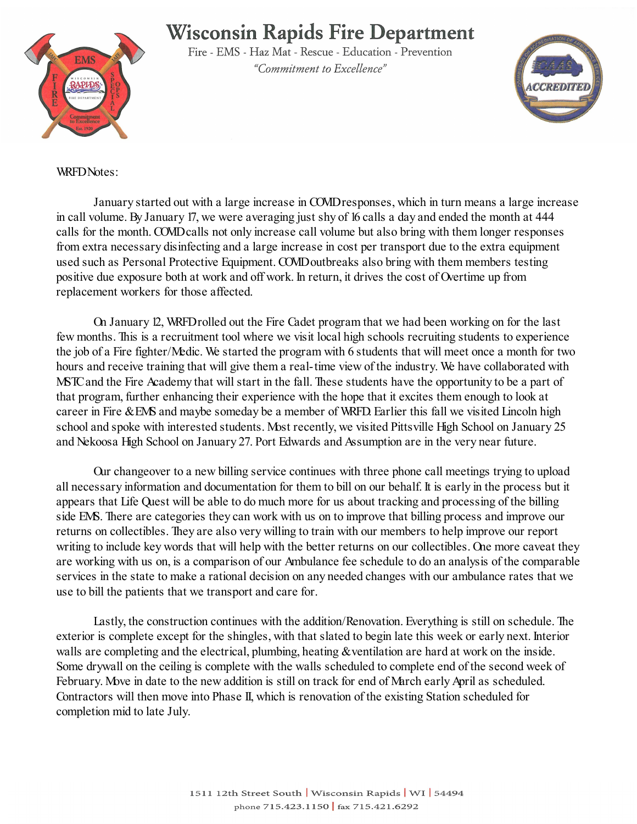## **Wisconsin Rapids Fire Department**



Fire - EMS - Haz Mat - Rescue - Education - Prevention "Commitment to Excellence"



#### WRFD Notes:

January started out with a large increase in COVID responses, which in turn means a large increase in call volume. By January 17, we were averaging just shy of 16 calls a day and ended the month at 444 calls for the month. COVIDcalls not only increase call volume but also bring with them longer responses from extra necessary disinfecting and a large increase in cost per transport due to the extra equipment used such as Personal Protective Equipment. COVID outbreaks also bring with them members testing positive due exposure both at work and off work. In return, it drives the cost of Overtime up from replacement workers for those affected.

On January 12, WRFD rolled out the Fire Cadet program that we had been working on for the last few months. This is a recruitment tool where we visit local high schools recruiting students to experience the job of a Fire fighter/Medic. We started the program with 6 students that will meet once a month for two hours and receive training that will give them a real-time view of the industry. We have collaborated with MSTC and the Fire Academy that will start in the fall. These students have the opportunity to be a part of that program, further enhancing their experience with the hope that it excites them enough to look at career in Fire & EMS and maybe someday be a member of WRFD. Earlier this fall we visited Lincoln high school and spoke with interested students. Most recently, we visited Pittsville High School on January 25 and Nekoosa High School on January 27. Port Edwards and Assumption are in the very near future.

Our changeover to a new billing service continues with three phone call meetings trying to upload all necessary information and documentation for them to bill on our behalf. It is early in the process but it appears that Life Quest will be able to do much more for us about tracking and processing of the billing side EMS. There are categories they can work with us on to improve that billing process and improve our returns on collectibles. They are also very willing to train with our members to help improve our report writing to include key words that will help with the better returns on our collectibles. One more caveat they are working with us on, is a comparison of our Ambulance fee schedule to do an analysis of the comparable services in the state to make a rational decision on any needed changes with our ambulance rates that we use to bill the patients that we transport and care for.

Lastly, the construction continues with the addition/Renovation. Everything is still on schedule. The exterior is complete except for the shingles, with that slated to begin late this week or early next. Interior walls are completing and the electrical, plumbing, heating & ventilation are hard at work on the inside. Some drywall on the ceiling is complete with the walls scheduled to complete end of the second week of February. Move in date to the new addition is still on track for end of March early April as scheduled. Contractors will then move into Phase II, which is renovation of the existing Station scheduled for completion mid to late July.